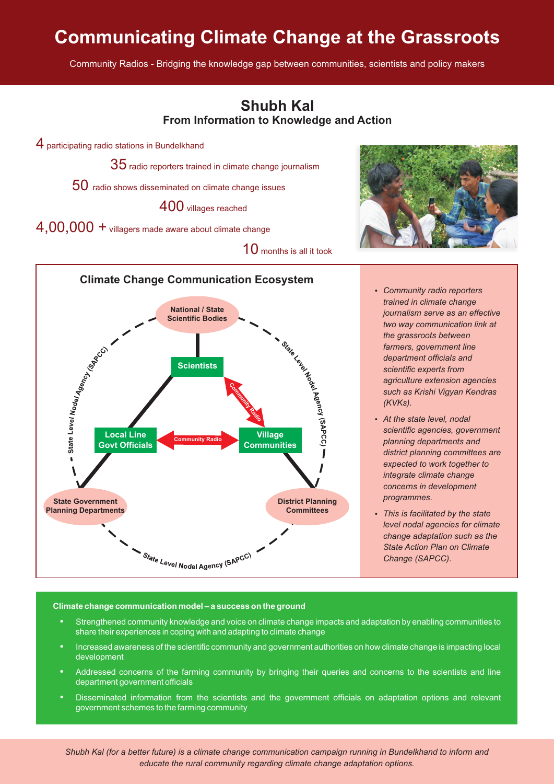# **Communicating Climate Change at the Grassroots**

Community Radios - Bridging the knowledge gap between communities, scientists and policy makers



## Climate change communication model - a success on the ground

- **limate change communication model a success on the ground**<br>• Strengthened community knowledge and voice on climate change impacts and adaptation by enabling communities to ?share their experiences in coping with and adapting to climate change Increased awareness of the scientific community and government authorities on how climate change is impacting local
- ?development Addressed concerns of the farming community by bringing their queries and concerns to the scientists and line
- 
- ?department government officials Disseminated information from the scientists and the government officials on adaptation options and relevant government schemes to the farming community